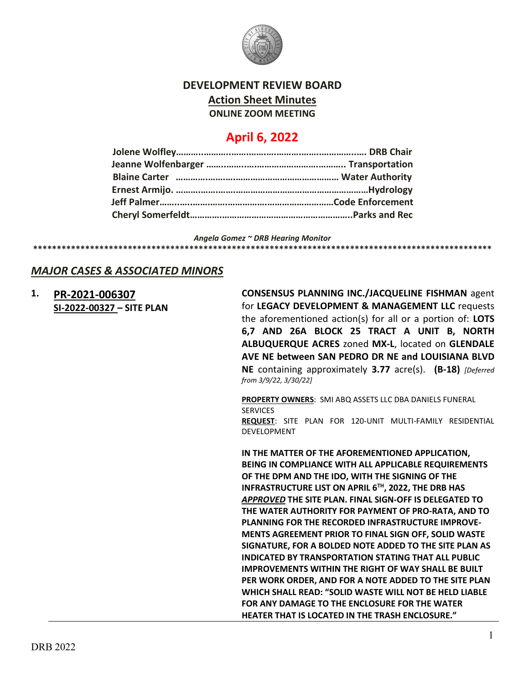

## **DEVELOPMENT REVIEW BOARD Action Sheet Minutes ONLINE ZOOM MEETING**

# **April 6, 2022**

*Angela Gomez ~ DRB Hearing Monitor*

**\*\*\*\*\*\*\*\*\*\*\*\*\*\*\*\*\*\*\*\*\*\*\*\*\*\*\*\*\*\*\*\*\*\*\*\*\*\*\*\*\*\*\*\*\*\*\*\*\*\*\*\*\*\*\*\*\*\*\*\*\*\*\*\*\*\*\*\*\*\*\*\*\*\*\*\*\*\*\*\*\*\*\*\*\*\*\*\*\*\*\*\*\*\*\*\*\***

### *MAJOR CASES & ASSOCIATED MINORS*

### **1. [PR-2021-006307](http://data.cabq.gov/government/planning/DRB/PR-2021-006307/DRB%20Submittals/) SI-2022-00327 – SITE PLAN**

**CONSENSUS PLANNING INC./JACQUELINE FISHMAN** agent for **LEGACY DEVELOPMENT & MANAGEMENT LLC** requests the aforementioned action(s) for all or a portion of: **LOTS 6,7 AND 26A BLOCK 25 TRACT A UNIT B, NORTH ALBUQUERQUE ACRES** zoned **MX-L**, located on **GLENDALE AVE NE between SAN PEDRO DR NE and LOUISIANA BLVD NE** containing approximately **3.77** acre(s). **(B-18)** *[Deferred from 3/9/22, 3/30/22]*

**PROPERTY OWNERS**: SMI ABQ ASSETS LLC DBA DANIELS FUNERAL SERVICES **REQUEST**: SITE PLAN FOR 120-UNIT MULTI-FAMILY RESIDENTIAL

DEVELOPMENT

**IN THE MATTER OF THE AFOREMENTIONED APPLICATION, BEING IN COMPLIANCE WITH ALL APPLICABLE REQUIREMENTS OF THE DPM AND THE IDO, WITH THE SIGNING OF THE INFRASTRUCTURE LIST ON APRIL 6TH, 2022, THE DRB HAS**  *APPROVED* **THE SITE PLAN. FINAL SIGN-OFF IS DELEGATED TO THE WATER AUTHORITY FOR PAYMENT OF PRO-RATA, AND TO PLANNING FOR THE RECORDED INFRASTRUCTURE IMPROVE-MENTS AGREEMENT PRIOR TO FINAL SIGN OFF, SOLID WASTE SIGNATURE, FOR A BOLDED NOTE ADDED TO THE SITE PLAN AS INDICATED BY TRANSPORTATION STATING THAT ALL PUBLIC IMPROVEMENTS WITHIN THE RIGHT OF WAY SHALL BE BUILT PER WORK ORDER, AND FOR A NOTE ADDED TO THE SITE PLAN WHICH SHALL READ: "SOLID WASTE WILL NOT BE HELD LIABLE FOR ANY DAMAGE TO THE ENCLOSURE FOR THE WATER HEATER THAT IS LOCATED IN THE TRASH ENCLOSURE."**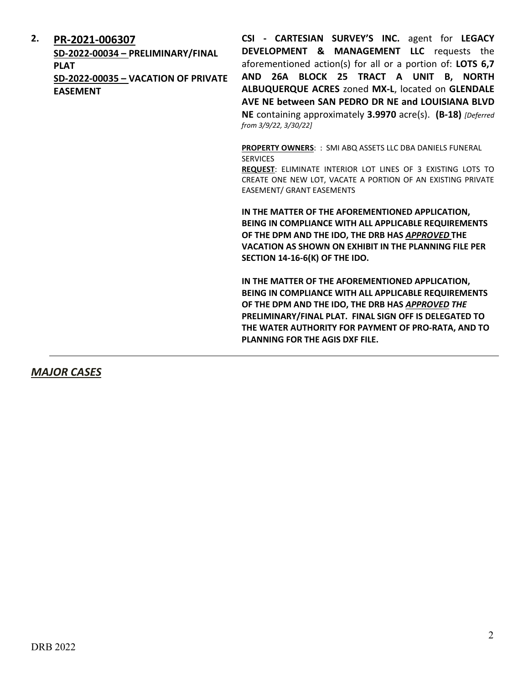### **2. [PR-2021-006307](http://data.cabq.gov/government/planning/DRB/PR-2021-006307/DRB%20Submittals/)**

**SD-2022-00034 – PRELIMINARY/FINAL PLAT SD-2022-00035 – VACATION OF PRIVATE EASEMENT**

**CSI - CARTESIAN SURVEY'S INC.** agent for **LEGACY DEVELOPMENT & MANAGEMENT LLC** requests the aforementioned action(s) for all or a portion of: **LOTS 6,7 AND 26A BLOCK 25 TRACT A UNIT B, NORTH ALBUQUERQUE ACRES** zoned **MX-L**, located on **GLENDALE AVE NE between SAN PEDRO DR NE and LOUISIANA BLVD NE** containing approximately **3.9970** acre(s). **(B-18)** *[Deferred from 3/9/22, 3/30/22]* 

**PROPERTY OWNERS**: : SMI ABQ ASSETS LLC DBA DANIELS FUNERAL SERVICES

**REQUEST**: ELIMINATE INTERIOR LOT LINES OF 3 EXISTING LOTS TO CREATE ONE NEW LOT, VACATE A PORTION OF AN EXISTING PRIVATE EASEMENT/ GRANT EASEMENTS

**IN THE MATTER OF THE AFOREMENTIONED APPLICATION, BEING IN COMPLIANCE WITH ALL APPLICABLE REQUIREMENTS OF THE DPM AND THE IDO, THE DRB HAS** *APPROVED* **THE VACATION AS SHOWN ON EXHIBIT IN THE PLANNING FILE PER SECTION 14-16-6(K) OF THE IDO.**

**IN THE MATTER OF THE AFOREMENTIONED APPLICATION, BEING IN COMPLIANCE WITH ALL APPLICABLE REQUIREMENTS OF THE DPM AND THE IDO, THE DRB HAS** *APPROVED THE* **PRELIMINARY/FINAL PLAT. FINAL SIGN OFF IS DELEGATED TO THE WATER AUTHORITY FOR PAYMENT OF PRO-RATA, AND TO PLANNING FOR THE AGIS DXF FILE.**

*MAJOR CASES*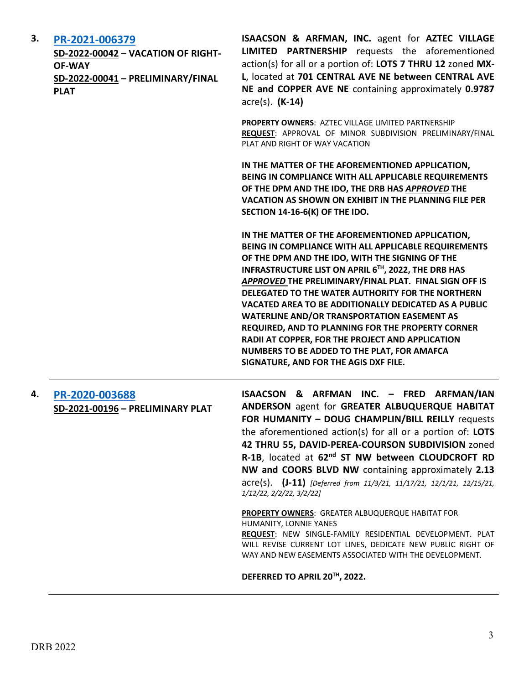| 3. | PR-2021-006379<br>SD-2022-00042 - VACATION OF RIGHT-<br><b>OF-WAY</b><br>SD-2022-00041 - PRELIMINARY/FINAL<br><b>PLAT</b> | ISAACSON & ARFMAN, INC. agent for AZTEC VILLAGE<br><b>LIMITED PARTNERSHIP</b> requests the aforementioned<br>action(s) for all or a portion of: LOTS 7 THRU 12 zoned MX-<br>L, located at 701 CENTRAL AVE NE between CENTRAL AVE<br>NE and COPPER AVE NE containing approximately 0.9787<br>$\arccos(5)$ . $(K-14)$                                                                                                                                                                                                                                                                                                                               |
|----|---------------------------------------------------------------------------------------------------------------------------|---------------------------------------------------------------------------------------------------------------------------------------------------------------------------------------------------------------------------------------------------------------------------------------------------------------------------------------------------------------------------------------------------------------------------------------------------------------------------------------------------------------------------------------------------------------------------------------------------------------------------------------------------|
|    |                                                                                                                           | PROPERTY OWNERS: AZTEC VILLAGE LIMITED PARTNERSHIP<br>REQUEST: APPROVAL OF MINOR SUBDIVISION PRELIMINARY/FINAL<br>PLAT AND RIGHT OF WAY VACATION                                                                                                                                                                                                                                                                                                                                                                                                                                                                                                  |
|    |                                                                                                                           | IN THE MATTER OF THE AFOREMENTIONED APPLICATION,<br>BEING IN COMPLIANCE WITH ALL APPLICABLE REQUIREMENTS<br>OF THE DPM AND THE IDO, THE DRB HAS APPROVED THE<br><b>VACATION AS SHOWN ON EXHIBIT IN THE PLANNING FILE PER</b><br>SECTION 14-16-6(K) OF THE IDO.                                                                                                                                                                                                                                                                                                                                                                                    |
|    |                                                                                                                           | IN THE MATTER OF THE AFOREMENTIONED APPLICATION,<br>BEING IN COMPLIANCE WITH ALL APPLICABLE REQUIREMENTS<br>OF THE DPM AND THE IDO, WITH THE SIGNING OF THE<br>INFRASTRUCTURE LIST ON APRIL 6TH, 2022, THE DRB HAS<br>APPROVED THE PRELIMINARY/FINAL PLAT. FINAL SIGN OFF IS<br>DELEGATED TO THE WATER AUTHORITY FOR THE NORTHERN<br>VACATED AREA TO BE ADDITIONALLY DEDICATED AS A PUBLIC<br><b>WATERLINE AND/OR TRANSPORTATION EASEMENT AS</b><br>REQUIRED, AND TO PLANNING FOR THE PROPERTY CORNER<br>RADII AT COPPER, FOR THE PROJECT AND APPLICATION<br>NUMBERS TO BE ADDED TO THE PLAT, FOR AMAFCA<br>SIGNATURE, AND FOR THE AGIS DXF FILE. |
| 4. | PR-2020-003688<br>SD-2021-00196 - PRELIMINARY PLAT                                                                        | ISAACSON & ARFMAN INC. - FRED ARFMAN/IAN<br>ANDERSON agent for GREATER ALBUQUERQUE HABITAT<br>FOR HUMANITY - DOUG CHAMPLIN/BILL REILLY requests<br>the aforementioned action(s) for all or a portion of: LOTS<br>42 THRU 55, DAVID-PEREA-COURSON SUBDIVISION zoned<br>R-1B, located at 62 <sup>nd</sup> ST NW between CLOUDCROFT RD<br>NW and COORS BLVD NW containing approximately 2.13<br>$\text{acre}(s)$ . (J-11) [Deferred from 11/3/21, 11/17/21, 12/1/21, 12/15/21,<br>1/12/22, 2/2/22, 3/2/22]                                                                                                                                           |
|    |                                                                                                                           | <b>PROPERTY OWNERS: GREATER ALBUQUERQUE HABITAT FOR</b><br>HUMANITY, LONNIE YANES<br>REQUEST: NEW SINGLE-FAMILY RESIDENTIAL DEVELOPMENT. PLAT<br>WILL REVISE CURRENT LOT LINES, DEDICATE NEW PUBLIC RIGHT OF<br>WAY AND NEW EASEMENTS ASSOCIATED WITH THE DEVELOPMENT.                                                                                                                                                                                                                                                                                                                                                                            |

**DEFERRED TO APRIL 20TH, 2022.**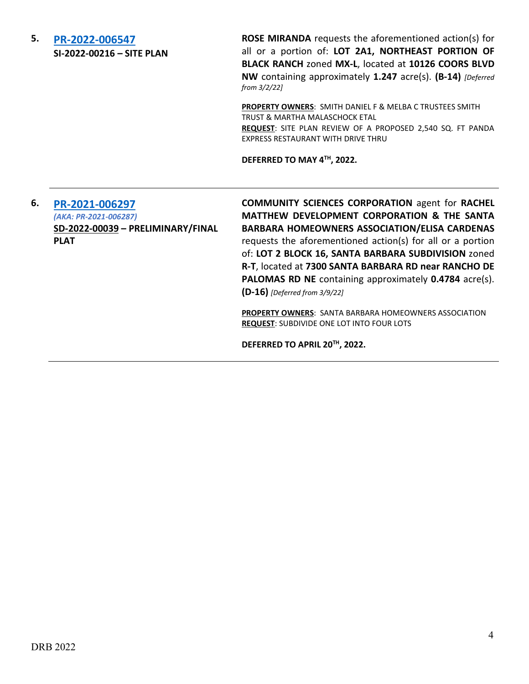**5. [PR-2022-006547](http://data.cabq.gov/government/planning/DRB/PR-2022-006547/DRB%20Submittals/) SI-2022-00216 – SITE PLAN**

**ROSE MIRANDA** requests the aforementioned action(s) for all or a portion of: **LOT 2A1, NORTHEAST PORTION OF BLACK RANCH** zoned **MX-L**, located at **10126 COORS BLVD NW** containing approximately **1.247** acre(s). **(B-14)** *[Deferred from 3/2/22]*

**PROPERTY OWNERS**: SMITH DANIEL F & MELBA C TRUSTEES SMITH TRUST & MARTHA MALASCHOCK ETAL **REQUEST**: SITE PLAN REVIEW OF A PROPOSED 2,540 SQ. FT PANDA EXPRESS RESTAURANT WITH DRIVE THRU

**DEFERRED TO MAY 4TH, 2022.**

### **6. [PR-2021-006297](http://data.cabq.gov/government/planning/DRB/PR-2021-006297/DRB%20Submittals/PR-2021-006297_April_6_2022-Supp/)** *(AKA: PR-2021-006287)* **SD-2022-00039 – PRELIMINARY/FINAL PLAT**

**COMMUNITY SCIENCES CORPORATION** agent for **RACHEL MATTHEW DEVELOPMENT CORPORATION & THE SANTA BARBARA HOMEOWNERS ASSOCIATION/ELISA CARDENAS** requests the aforementioned action(s) for all or a portion of: **LOT 2 BLOCK 16, SANTA BARBARA SUBDIVISION** zoned **R-T**, located at **7300 SANTA BARBARA RD near RANCHO DE PALOMAS RD NE** containing approximately **0.4784** acre(s). **(D-16)** *[Deferred from 3/9/22]*

**PROPERTY OWNERS**: SANTA BARBARA HOMEOWNERS ASSOCIATION **REQUEST**: SUBDIVIDE ONE LOT INTO FOUR LOTS

**DEFERRED TO APRIL 20TH, 2022.**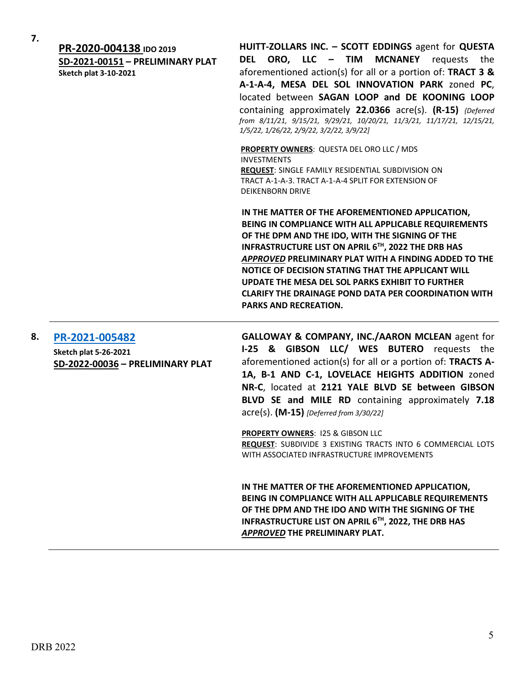| 7. | PR-2020-004138 IDO 2019<br>SD-2021-00151 - PRELIMINARY PLAT<br><b>Sketch plat 3-10-2021</b> | HUITT-ZOLLARS INC. - SCOTT EDDINGS agent for QUESTA<br>ORO, LLC - TIM<br><b>MCNANEY</b><br><b>DEL</b><br>requests the<br>aforementioned action(s) for all or a portion of: TRACT 3 &<br>A-1-A-4, MESA DEL SOL INNOVATION PARK zoned PC,<br>located between SAGAN LOOP and DE KOONING LOOP<br>containing approximately 22.0366 acre(s). (R-15) {Deferred<br>from 8/11/21, 9/15/21, 9/29/21, 10/20/21, 11/3/21, 11/17/21, 12/15/21,<br>1/5/22, 1/26/22, 2/9/22, 3/2/22, 3/9/22]       |
|----|---------------------------------------------------------------------------------------------|-------------------------------------------------------------------------------------------------------------------------------------------------------------------------------------------------------------------------------------------------------------------------------------------------------------------------------------------------------------------------------------------------------------------------------------------------------------------------------------|
|    |                                                                                             | <b>PROPERTY OWNERS: QUESTA DEL ORO LLC / MDS</b><br><b>INVESTMENTS</b><br>REQUEST: SINGLE FAMILY RESIDENTIAL SUBDIVISION ON<br>TRACT A-1-A-3. TRACT A-1-A-4 SPLIT FOR EXTENSION OF<br><b>DEIKENBORN DRIVE</b>                                                                                                                                                                                                                                                                       |
|    |                                                                                             | IN THE MATTER OF THE AFOREMENTIONED APPLICATION,<br>BEING IN COMPLIANCE WITH ALL APPLICABLE REQUIREMENTS<br>OF THE DPM AND THE IDO, WITH THE SIGNING OF THE<br>INFRASTRUCTURE LIST ON APRIL 6TH, 2022 THE DRB HAS<br>APPROVED PRELIMINARY PLAT WITH A FINDING ADDED TO THE<br>NOTICE OF DECISION STATING THAT THE APPLICANT WILL<br>UPDATE THE MESA DEL SOL PARKS EXHIBIT TO FURTHER<br><b>CLARIFY THE DRAINAGE POND DATA PER COORDINATION WITH</b><br><b>PARKS AND RECREATION.</b> |
| 8. | PR-2021-005482<br><b>Sketch plat 5-26-2021</b><br>SD-2022-00036 - PRELIMINARY PLAT          | GALLOWAY & COMPANY, INC./AARON MCLEAN agent for<br>I-25 & GIBSON LLC/ WES BUTERO requests the<br>aforementioned action(s) for all or a portion of: TRACTS A-<br>1A, B-1 AND C-1, LOVELACE HEIGHTS ADDITION zoned<br>NR-C, located at 2121 YALE BLVD SE between GIBSON<br>BLVD SE and MILE RD containing approximately 7.18<br>acre(s). (M-15) [Deferred from 3/30/22]                                                                                                               |
|    |                                                                                             | <b>PROPERTY OWNERS: 125 &amp; GIBSON LLC</b><br>REQUEST: SUBDIVIDE 3 EXISTING TRACTS INTO 6 COMMERCIAL LOTS<br>WITH ASSOCIATED INFRASTRUCTURE IMPROVEMENTS                                                                                                                                                                                                                                                                                                                          |

**IN THE MATTER OF THE AFOREMENTIONED APPLICATION, BEING IN COMPLIANCE WITH ALL APPLICABLE REQUIREMENTS OF THE DPM AND THE IDO AND WITH THE SIGNING OF THE INFRASTRUCTURE LIST ON APRIL 6TH, 2022, THE DRB HAS**  *APPROVED* **THE PRELIMINARY PLAT.**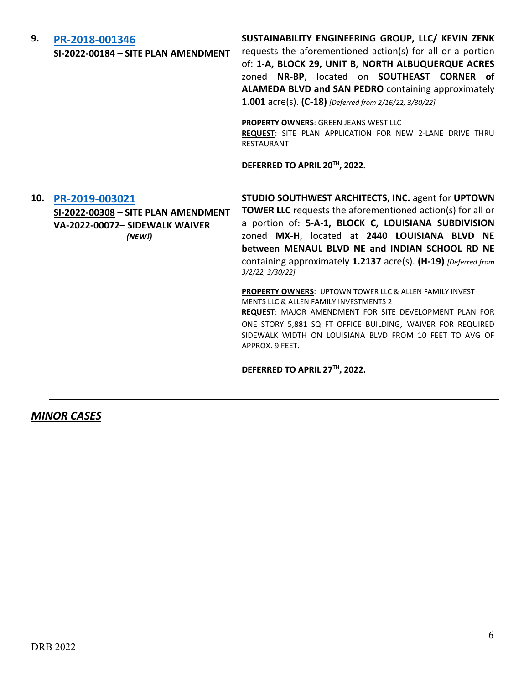| 9.  | PR-2018-001346<br>SI-2022-00184 - SITE PLAN AMENDMENT                                             | SUSTAINABILITY ENGINEERING GROUP, LLC/ KEVIN ZENK<br>requests the aforementioned action(s) for all or a portion<br>of: 1-A, BLOCK 29, UNIT B, NORTH ALBUQUERQUE ACRES<br>zoned NR-BP, located on SOUTHEAST CORNER of<br>ALAMEDA BLVD and SAN PEDRO containing approximately<br>1.001 acre(s). (C-18) [Deferred from 2/16/22, 3/30/22]<br>PROPERTY OWNERS: GREEN JEANS WEST LLC<br>REQUEST: SITE PLAN APPLICATION FOR NEW 2-LANE DRIVE THRU<br><b>RESTAURANT</b><br>DEFERRED TO APRIL 20TH, 2022.                                                                                                                                                                                                        |
|-----|---------------------------------------------------------------------------------------------------|---------------------------------------------------------------------------------------------------------------------------------------------------------------------------------------------------------------------------------------------------------------------------------------------------------------------------------------------------------------------------------------------------------------------------------------------------------------------------------------------------------------------------------------------------------------------------------------------------------------------------------------------------------------------------------------------------------|
| 10. | PR-2019-003021<br>SI-2022-00308 - SITE PLAN AMENDMENT<br>VA-2022-00072- SIDEWALK WAIVER<br>(NEW!) | STUDIO SOUTHWEST ARCHITECTS, INC. agent for UPTOWN<br><b>TOWER LLC</b> requests the aforementioned action(s) for all or<br>a portion of: 5-A-1, BLOCK C, LOUISIANA SUBDIVISION<br>zoned MX-H, located at 2440 LOUISIANA BLVD NE<br>between MENAUL BLVD NE and INDIAN SCHOOL RD NE<br>containing approximately 1.2137 acre(s). (H-19) [Deferred from<br>3/2/22, 3/30/22<br><b>PROPERTY OWNERS: UPTOWN TOWER LLC &amp; ALLEN FAMILY INVEST</b><br><b>MENTS LLC &amp; ALLEN FAMILY INVESTMENTS 2</b><br>REQUEST: MAJOR AMENDMENT FOR SITE DEVELOPMENT PLAN FOR<br>ONE STORY 5,881 SQ FT OFFICE BUILDING, WAIVER FOR REQUIRED<br>SIDEWALK WIDTH ON LOUISIANA BLVD FROM 10 FEET TO AVG OF<br>APPROX. 9 FEET. |

**DEFERRED TO APRIL 27TH, 2022.**

*MINOR CASES*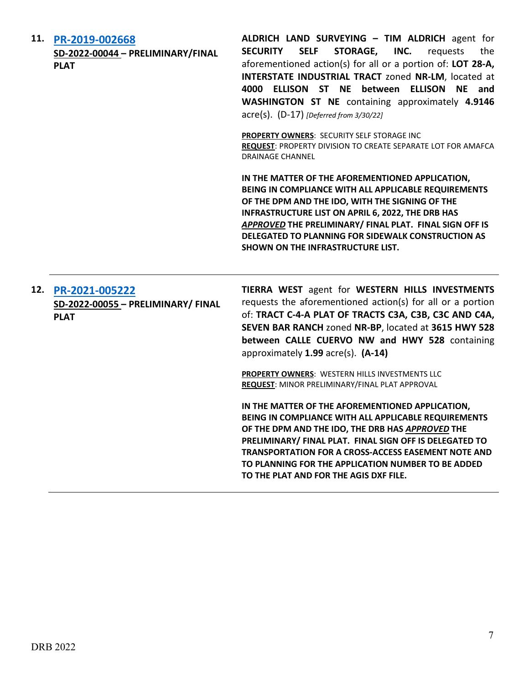**11. [PR-2019-002668](http://data.cabq.gov/government/planning/DRB/PR-2019-002668/DRB%20Submittals/) SD-2022-00044 – PRELIMINARY/FINAL PLAT ALDRICH LAND SURVEYING – TIM ALDRICH** agent for **SECURITY SELF STORAGE, INC.** requests the aforementioned action(s) for all or a portion of: **LOT 28-A, INTERSTATE INDUSTRIAL TRACT** zoned **NR-LM**, located at **4000 ELLISON ST NE between ELLISON NE and WASHINGTON ST NE** containing approximately **4.9146** acre(s). (D-17) *[Deferred from 3/30/22]* **PROPERTY OWNERS**: SECURITY SELF STORAGE INC **REQUEST**: PROPERTY DIVISION TO CREATE SEPARATE LOT FOR AMAFCA DRAINAGE CHANNEL **IN THE MATTER OF THE AFOREMENTIONED APPLICATION, BEING IN COMPLIANCE WITH ALL APPLICABLE REQUIREMENTS OF THE DPM AND THE IDO, WITH THE SIGNING OF THE INFRASTRUCTURE LIST ON APRIL 6, 2022, THE DRB HAS**  *APPROVED* **THE PRELIMINARY/ FINAL PLAT. FINAL SIGN OFF IS DELEGATED TO PLANNING FOR SIDEWALK CONSTRUCTION AS SHOWN ON THE INFRASTRUCTURE LIST. 12. [PR-2021-005222](http://data.cabq.gov/government/planning/DRB/PR-2021-005222/DRB%20Submittals/PR-2021-005222_April_6_2022%20(P&F)/) SD-2022-00055 – PRELIMINARY/ FINAL PLAT TIERRA WEST** agent for **WESTERN HILLS INVESTMENTS**  requests the aforementioned action(s) for all or a portion of: **TRACT C-4-A PLAT OF TRACTS C3A, C3B, C3C AND C4A, SEVEN BAR RANCH** zoned **NR-BP**, located at **3615 HWY 528 between CALLE CUERVO NW and HWY 528** containing approximately **1.99** acre(s). **(A-14) PROPERTY OWNERS**: WESTERN HILLS INVESTMENTS LLC **REQUEST**: MINOR PRELIMINARY/FINAL PLAT APPROVAL

> **IN THE MATTER OF THE AFOREMENTIONED APPLICATION, BEING IN COMPLIANCE WITH ALL APPLICABLE REQUIREMENTS OF THE DPM AND THE IDO, THE DRB HAS** *APPROVED* **THE PRELIMINARY/ FINAL PLAT. FINAL SIGN OFF IS DELEGATED TO TRANSPORTATION FOR A CROSS-ACCESS EASEMENT NOTE AND TO PLANNING FOR THE APPLICATION NUMBER TO BE ADDED TO THE PLAT AND FOR THE AGIS DXF FILE.**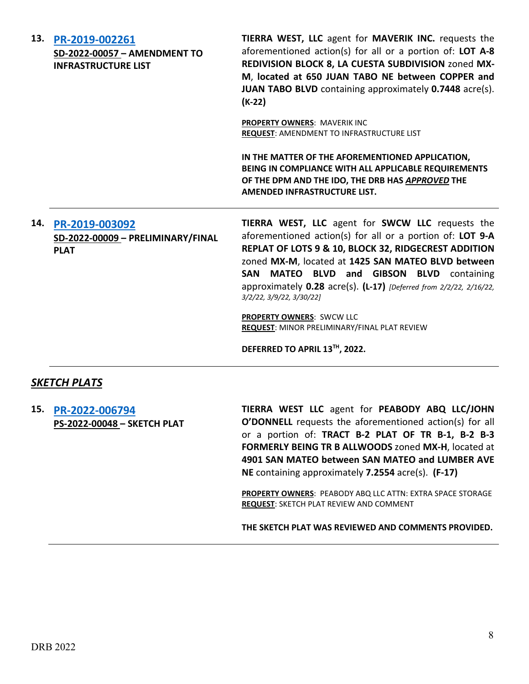|     | 13. PR-2019-002261<br>SD-2022-00057 - AMENDMENT TO<br><b>INFRASTRUCTURE LIST</b> | TIERRA WEST, LLC agent for MAVERIK INC. requests the<br>aforementioned action(s) for all or a portion of: LOT A-8<br>REDIVISION BLOCK 8, LA CUESTA SUBDIVISION zoned MX-<br>M, located at 650 JUAN TABO NE between COPPER and<br><b>JUAN TABO BLVD</b> containing approximately <b>0.7448</b> acre(s).<br>$(K-22)$                                                                                                                                                                              |
|-----|----------------------------------------------------------------------------------|-------------------------------------------------------------------------------------------------------------------------------------------------------------------------------------------------------------------------------------------------------------------------------------------------------------------------------------------------------------------------------------------------------------------------------------------------------------------------------------------------|
|     |                                                                                  | PROPERTY OWNERS: MAVERIK INC<br>REQUEST: AMENDMENT TO INFRASTRUCTURE LIST                                                                                                                                                                                                                                                                                                                                                                                                                       |
|     |                                                                                  | IN THE MATTER OF THE AFOREMENTIONED APPLICATION,<br>BEING IN COMPLIANCE WITH ALL APPLICABLE REQUIREMENTS<br>OF THE DPM AND THE IDO, THE DRB HAS APPROVED THE<br>AMENDED INFRASTRUCTURE LIST.                                                                                                                                                                                                                                                                                                    |
| 14. | PR-2019-003092<br>SD-2022-00009 - PRELIMINARY/FINAL<br><b>PLAT</b>               | TIERRA WEST, LLC agent for SWCW LLC requests the<br>aforementioned action(s) for all or a portion of: LOT 9-A<br>REPLAT OF LOTS 9 & 10, BLOCK 32, RIDGECREST ADDITION<br>zoned MX-M, located at 1425 SAN MATEO BLVD between<br>SAN MATEO BLVD and GIBSON BLVD containing<br>approximately 0.28 acre(s). (L-17) [Deferred from 2/2/22, 2/16/22,<br>3/2/22, 3/9/22, 3/30/22]<br><b>PROPERTY OWNERS: SWCW LLC</b><br>REQUEST: MINOR PRELIMINARY/FINAL PLAT REVIEW<br>DEFERRED TO APRIL 13TH, 2022. |
|     | <b>SKETCH PLATS</b>                                                              |                                                                                                                                                                                                                                                                                                                                                                                                                                                                                                 |
|     | 15. PR-2022-006794<br>PS-2022-00048 - SKETCH PLAT                                | TIERRA WEST LLC agent for PEABODY ABQ LLC/JOHN<br><b>O'DONNELL</b> requests the aforementioned action(s) for all<br>or a portion of: TRACT B-2 PLAT OF TR B-1, B-2 B-3<br>FORMERLY BEING TR B ALLWOODS zoned MX-H, located at<br>4901 SAN MATEO between SAN MATEO and LUMBER AVE<br>NE containing approximately 7.2554 acre(s). (F-17)                                                                                                                                                          |

**PROPERTY OWNERS**: PEABODY ABQ LLC ATTN: EXTRA SPACE STORAGE **REQUEST**: SKETCH PLAT REVIEW AND COMMENT

**THE SKETCH PLAT WAS REVIEWED AND COMMENTS PROVIDED.**